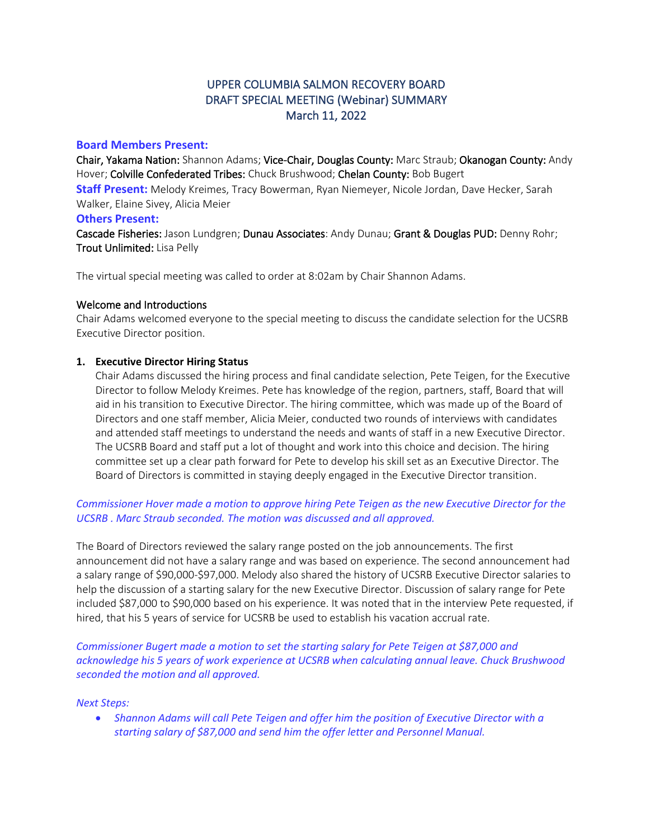# UPPER COLUMBIA SALMON RECOVERY BOARD DRAFT SPECIAL MEETING (Webinar) SUMMARY March 11, 2022

## **Board Members Present:**

Chair, Yakama Nation: Shannon Adams; Vice-Chair, Douglas County: Marc Straub; Okanogan County: Andy Hover; Colville Confederated Tribes: Chuck Brushwood; Chelan County: Bob Bugert

**Staff Present:** Melody Kreimes, Tracy Bowerman, Ryan Niemeyer, Nicole Jordan, Dave Hecker, Sarah Walker, Elaine Sivey, Alicia Meier

#### **Others Present:**

Cascade Fisheries: Jason Lundgren; Dunau Associates: Andy Dunau; Grant & Douglas PUD: Denny Rohr; Trout Unlimited: Lisa Pelly

The virtual special meeting was called to order at 8:02am by Chair Shannon Adams.

#### Welcome and Introductions

Chair Adams welcomed everyone to the special meeting to discuss the candidate selection for the UCSRB Executive Director position.

## **1. Executive Director Hiring Status**

Chair Adams discussed the hiring process and final candidate selection, Pete Teigen, for the Executive Director to follow Melody Kreimes. Pete has knowledge of the region, partners, staff, Board that will aid in his transition to Executive Director. The hiring committee, which was made up of the Board of Directors and one staff member, Alicia Meier, conducted two rounds of interviews with candidates and attended staff meetings to understand the needs and wants of staff in a new Executive Director. The UCSRB Board and staff put a lot of thought and work into this choice and decision. The hiring committee set up a clear path forward for Pete to develop his skill set as an Executive Director. The Board of Directors is committed in staying deeply engaged in the Executive Director transition.

## *Commissioner Hover made a motion to approve hiring Pete Teigen as the new Executive Director for the UCSRB . Marc Straub seconded. The motion was discussed and all approved.*

The Board of Directors reviewed the salary range posted on the job announcements. The first announcement did not have a salary range and was based on experience. The second announcement had a salary range of \$90,000-\$97,000. Melody also shared the history of UCSRB Executive Director salaries to help the discussion of a starting salary for the new Executive Director. Discussion of salary range for Pete included \$87,000 to \$90,000 based on his experience. It was noted that in the interview Pete requested, if hired, that his 5 years of service for UCSRB be used to establish his vacation accrual rate.

*Commissioner Bugert made a motion to set the starting salary for Pete Teigen at \$87,000 and acknowledge his 5 years of work experience at UCSRB when calculating annual leave. Chuck Brushwood seconded the motion and all approved.*

#### *Next Steps:*

• *Shannon Adams will call Pete Teigen and offer him the position of Executive Director with a starting salary of \$87,000 and send him the offer letter and Personnel Manual.*